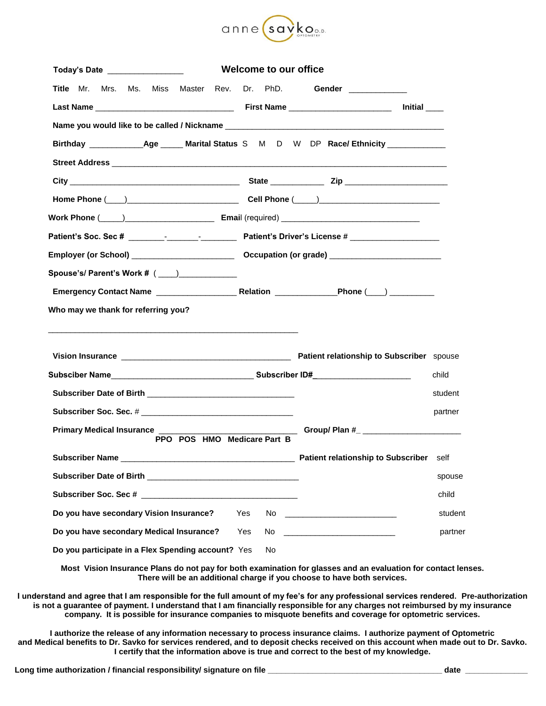

| Today's Date _________________                                                                                   | Welcome to our office |                                                                                                                           |         |
|------------------------------------------------------------------------------------------------------------------|-----------------------|---------------------------------------------------------------------------------------------------------------------------|---------|
| Mrs.<br>Master Rev. Dr. PhD.<br>Title Mr.<br>Ms.<br>Miss                                                         |                       | Gender ____________                                                                                                       |         |
|                                                                                                                  |                       |                                                                                                                           |         |
|                                                                                                                  |                       |                                                                                                                           |         |
|                                                                                                                  |                       |                                                                                                                           |         |
|                                                                                                                  |                       |                                                                                                                           |         |
|                                                                                                                  |                       |                                                                                                                           |         |
|                                                                                                                  |                       |                                                                                                                           |         |
|                                                                                                                  |                       |                                                                                                                           |         |
|                                                                                                                  |                       |                                                                                                                           |         |
|                                                                                                                  |                       |                                                                                                                           |         |
| Spouse's/ Parent's Work # (___)_____________                                                                     |                       |                                                                                                                           |         |
|                                                                                                                  |                       |                                                                                                                           |         |
| Who may we thank for referring you?                                                                              |                       |                                                                                                                           |         |
| and the control of the control of the control of the control of the control of the control of the control of the |                       |                                                                                                                           |         |
|                                                                                                                  |                       |                                                                                                                           |         |
| Subsciber Name___________________________________Subscriber ID#_________________                                 |                       |                                                                                                                           | child   |
|                                                                                                                  |                       |                                                                                                                           | student |
|                                                                                                                  |                       |                                                                                                                           | partner |
| Primary Medical Insurance ______<br>PPO POS HMO Medicare Part B                                                  |                       |                                                                                                                           |         |
|                                                                                                                  |                       |                                                                                                                           |         |
| <b>Subscriber Name</b>                                                                                           |                       | Patient relationship to Subscriber self                                                                                   |         |
|                                                                                                                  |                       |                                                                                                                           | spouse  |
|                                                                                                                  |                       |                                                                                                                           | child   |
| Do you have secondary Vision Insurance?                                                                          | Yes                   |                                                                                                                           | student |
| Do you have secondary Medical Insurance?                                                                         | Yes<br>No             | <u> 2000 - Jan James James Jan James James James James James James James James James James James James James James Ja</u> | partner |
| Do you participate in a Flex Spending account? Yes                                                               | No.                   |                                                                                                                           |         |

**Most Vision Insurance Plans do not pay for both examination for glasses and an evaluation for contact lenses. There will be an additional charge if you choose to have both services.** 

**I understand and agree that I am responsible for the full amount of my fee's for any professional services rendered. Pre-authorization is not a guarantee of payment. I understand that I am financially responsible for any charges not reimbursed by my insurance company. It is possible for insurance companies to misquote benefits and coverage for optometric services.** 

**I authorize the release of any information necessary to process insurance claims. I authorize payment of Optometric and Medical benefits to Dr. Savko for services rendered, and to deposit checks received on this account when made out to Dr. Savko. I certify that the information above is true and correct to the best of my knowledge.** 

**Long time authorization / financial responsibility/ signature on file \_\_\_\_\_\_\_\_\_\_\_\_\_\_\_\_\_\_\_\_\_\_\_\_\_\_\_\_\_\_\_\_\_\_\_\_\_\_\_ date \_\_\_\_\_\_\_\_\_\_\_\_\_\_**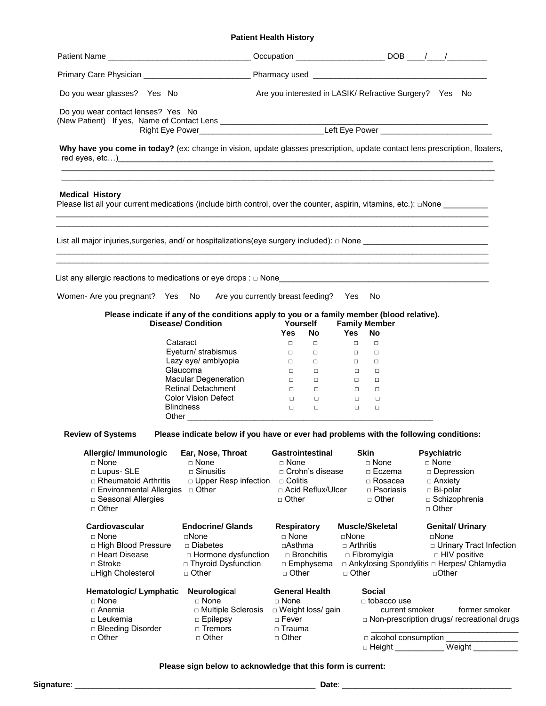|                                                                                                                                                                                                                                                                                                                                                         |                                                                                                                                                                                                                                                    | <b>Patient Health History</b>          |                                      |                                                         |  |  |
|---------------------------------------------------------------------------------------------------------------------------------------------------------------------------------------------------------------------------------------------------------------------------------------------------------------------------------------------------------|----------------------------------------------------------------------------------------------------------------------------------------------------------------------------------------------------------------------------------------------------|----------------------------------------|--------------------------------------|---------------------------------------------------------|--|--|
|                                                                                                                                                                                                                                                                                                                                                         |                                                                                                                                                                                                                                                    |                                        |                                      |                                                         |  |  |
|                                                                                                                                                                                                                                                                                                                                                         |                                                                                                                                                                                                                                                    |                                        |                                      |                                                         |  |  |
| Do you wear glasses? Yes No                                                                                                                                                                                                                                                                                                                             |                                                                                                                                                                                                                                                    |                                        |                                      | Are you interested in LASIK/ Refractive Surgery? Yes No |  |  |
| Do you wear contact lenses? Yes No                                                                                                                                                                                                                                                                                                                      |                                                                                                                                                                                                                                                    |                                        |                                      |                                                         |  |  |
| Why have you come in today? (ex: change in vision, update glasses prescription, update contact lens prescription, floaters,<br>red eyes, etc) etc and the set of the set of the set of the set of the set of the set of the set of the set of the set of the set of the set of the set of the set of the set of the set of the set of the set of the se |                                                                                                                                                                                                                                                    |                                        |                                      |                                                         |  |  |
| <b>Medical History</b><br>Please list all your current medications (include birth control, over the counter, aspirin, vitamins, etc.): □None _________                                                                                                                                                                                                  | ,我们也不能在这里的时候,我们也不能会在这里,我们也不能会在这里,我们也不能会在这里,我们也不能会在这里的时候,我们也不能会在这里,我们也不能会不能会不能会。<br>第2012章 我们的时候,我们的时候,我们的时候,我们的时候,我们的时候,我们的时候,我们的时候,我们的时候,我们的时候,我们的时候,我们的时候,我们的时候,我                                                                                |                                        |                                      |                                                         |  |  |
|                                                                                                                                                                                                                                                                                                                                                         |                                                                                                                                                                                                                                                    |                                        |                                      |                                                         |  |  |
| List any allergic reactions to medications or eye drops : □ None <b>with a set of the control of the control of the control of the control of the control of the control of the control of the control of the control of the co</b>                                                                                                                     |                                                                                                                                                                                                                                                    |                                        |                                      |                                                         |  |  |
| Women- Are you pregnant? Yes No Are you currently breast feeding? Yes No                                                                                                                                                                                                                                                                                |                                                                                                                                                                                                                                                    |                                        |                                      |                                                         |  |  |
|                                                                                                                                                                                                                                                                                                                                                         | Please indicate if any of the conditions apply to you or a family member (blood relative).<br><b>Disease/ Condition</b>                                                                                                                            | Yourself                               | <b>Family Member</b>                 |                                                         |  |  |
|                                                                                                                                                                                                                                                                                                                                                         |                                                                                                                                                                                                                                                    | <b>Yes</b><br>No                       | <b>Yes</b><br><b>No</b>              |                                                         |  |  |
|                                                                                                                                                                                                                                                                                                                                                         | Cataract                                                                                                                                                                                                                                           | $\Box$<br>$\Box$                       | $\Box$<br>$\Box$                     |                                                         |  |  |
|                                                                                                                                                                                                                                                                                                                                                         | Eyeturn/ strabismus                                                                                                                                                                                                                                | $\Box$<br>$\Box$                       | $\Box$<br>$\Box$                     |                                                         |  |  |
|                                                                                                                                                                                                                                                                                                                                                         | Lazy eye/ amblyopia                                                                                                                                                                                                                                | $\Box$<br>$\Box$                       | $\Box$<br>$\Box$                     |                                                         |  |  |
|                                                                                                                                                                                                                                                                                                                                                         | Glaucoma<br><b>Macular Degeneration</b>                                                                                                                                                                                                            | $\Box$<br>$\Box$<br>$\Box$ .<br>$\Box$ | $\Box$<br>$\Box$<br>$\Box$<br>$\Box$ |                                                         |  |  |
|                                                                                                                                                                                                                                                                                                                                                         | <b>Retinal Detachment</b>                                                                                                                                                                                                                          | $\Box$<br>$\Box$                       | $\Box$<br>$\Box$                     |                                                         |  |  |
|                                                                                                                                                                                                                                                                                                                                                         | <b>Color Vision Defect</b>                                                                                                                                                                                                                         | $\Box$<br>$\Box$                       | $\Box$<br>$\Box$                     |                                                         |  |  |
|                                                                                                                                                                                                                                                                                                                                                         | <b>Blindness</b><br>Other the contract of the contract of the contract of the contract of the contract of the contract of the contract of the contract of the contract of the contract of the contract of the contract of the contract of the cont | $\Box$<br>$\Box$                       | $\Box$<br>$\Box$                     |                                                         |  |  |
| <b>Review of Systems</b>                                                                                                                                                                                                                                                                                                                                | Please indicate below if you have or ever had problems with the following conditions:                                                                                                                                                              |                                        |                                      |                                                         |  |  |
| <b>Allergic/ Immunologic</b>                                                                                                                                                                                                                                                                                                                            | Ear, Nose, Throat                                                                                                                                                                                                                                  | <b>Gastrointestinal</b>                | <b>Skin</b>                          | <b>Psychiatric</b>                                      |  |  |
| $\Box$ None                                                                                                                                                                                                                                                                                                                                             | □ None<br>$\Box$ Sinusitis                                                                                                                                                                                                                         | $\Box$ None<br>□ Crohn's disease       | □ None<br>$\Box$ Eczema              | □ None                                                  |  |  |
| □ Lupus- SLE<br>$\Box$ Rheumatoid Arthritis                                                                                                                                                                                                                                                                                                             | □ Upper Resp infection                                                                                                                                                                                                                             | $\Box$ Colitis                         | □ Rosacea                            | □ Depression<br>$\Box$ Anxiety                          |  |  |
| □ Environmental Allergies                                                                                                                                                                                                                                                                                                                               | □ Other                                                                                                                                                                                                                                            | □ Acid Reflux/Ulcer                    | $\Box$ Psoriasis                     | □ Bi-polar                                              |  |  |
| □ Seasonal Allergies<br>$\Box$ Other                                                                                                                                                                                                                                                                                                                    |                                                                                                                                                                                                                                                    | $\Box$ Other                           | $\Box$ Other                         | □ Schizophrenia<br>□ Other                              |  |  |
| Cardiovascular<br>□ None                                                                                                                                                                                                                                                                                                                                | <b>Endocrine/ Glands</b><br>□None                                                                                                                                                                                                                  | <b>Respiratory</b><br>$\Box$ None      | <b>Muscle/Skeletal</b><br>□None      | <b>Genital/ Urinary</b><br>$\square$ None               |  |  |
| □ High Blood Pressure                                                                                                                                                                                                                                                                                                                                   | $\square$ Diabetes                                                                                                                                                                                                                                 | □Asthma                                | $\Box$ Arthritis                     | D Urinary Tract Infection                               |  |  |
| □ Heart Disease                                                                                                                                                                                                                                                                                                                                         | □ Hormone dysfunction                                                                                                                                                                                                                              | $\Box$ Bronchitis                      | □ Fibromylgia                        | □ HIV positive                                          |  |  |
| $\Box$ Stroke<br>□High Cholesterol                                                                                                                                                                                                                                                                                                                      | □ Thyroid Dysfunction<br>$\Box$ Other                                                                                                                                                                                                              | □ Emphysema<br>$\Box$ Other            | $\Box$ Other                         | □ Ankylosing Spondylitis □ Herpes/ Chlamydia<br>□Other  |  |  |
| Hematologic/ Lymphatic                                                                                                                                                                                                                                                                                                                                  | Neurological                                                                                                                                                                                                                                       | <b>General Health</b>                  | <b>Social</b>                        |                                                         |  |  |
| □ None                                                                                                                                                                                                                                                                                                                                                  | □ None                                                                                                                                                                                                                                             | $\Box$ None                            | □ tobacco use                        |                                                         |  |  |
| □ Anemia                                                                                                                                                                                                                                                                                                                                                | □ Multiple Sclerosis                                                                                                                                                                                                                               | □ Weight loss/ gain                    |                                      | former smoker<br>current smoker                         |  |  |
| □ Leukemia<br>□ Bleeding Disorder                                                                                                                                                                                                                                                                                                                       | $\Box$ Epilepsy<br>□ Tremors                                                                                                                                                                                                                       | $\Box$ Fever<br>$\Box$ Trauma          |                                      | D Non-prescription drugs/ recreational drugs            |  |  |
| $\Box$ Other                                                                                                                                                                                                                                                                                                                                            | $\Box$ Other                                                                                                                                                                                                                                       | $\Box$ Other                           |                                      | $\Box$ alcohol consumption                              |  |  |

## **Please sign below to acknowledge that this form is current:**

□ Height \_\_\_\_\_\_\_\_\_\_\_\_ Weight \_\_\_\_\_\_\_\_\_\_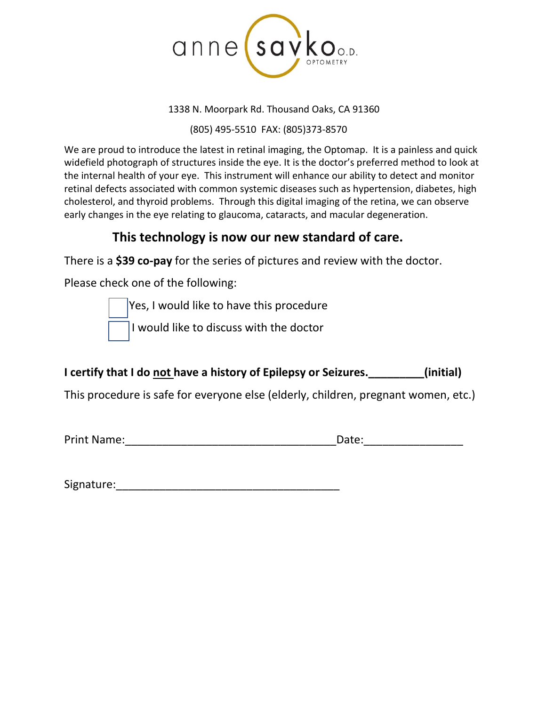

## 1338 N. Moorpark Rd. Thousand Oaks, CA 91360

# (805) 495-5510 FAX: (805)373-8570

We are proud to introduce the latest in retinal imaging, the Optomap. It is a painless and quick widefield photograph of structures inside the eye. It is the doctor's preferred method to look at the internal health of your eye. This instrument will enhance our ability to detect and monitor retinal defects associated with common systemic diseases such as hypertension, diabetes, high cholesterol, and thyroid problems. Through this digital imaging of the retina, we can observe early changes in the eye relating to glaucoma, cataracts, and macular degeneration.

# **This technology is now our new standard of care.**

There is a **\$39 co-pay** for the series of pictures and review with the doctor.

Please check one of the following:

Yes, I would like to have this procedure

I would like to discuss with the doctor

**I certify that I do not have a history of Epilepsy or Seizures.\_\_\_\_\_\_\_\_\_(initial)**

This procedure is safe for everyone else (elderly, children, pregnant women, etc.)

Print Name:\_\_\_\_\_\_\_\_\_\_\_\_\_\_\_\_\_\_\_\_\_\_\_\_\_\_\_\_\_\_\_\_\_\_Date:\_\_\_\_\_\_\_\_\_\_\_\_\_\_\_\_

Signature:\_\_\_\_\_\_\_\_\_\_\_\_\_\_\_\_\_\_\_\_\_\_\_\_\_\_\_\_\_\_\_\_\_\_\_\_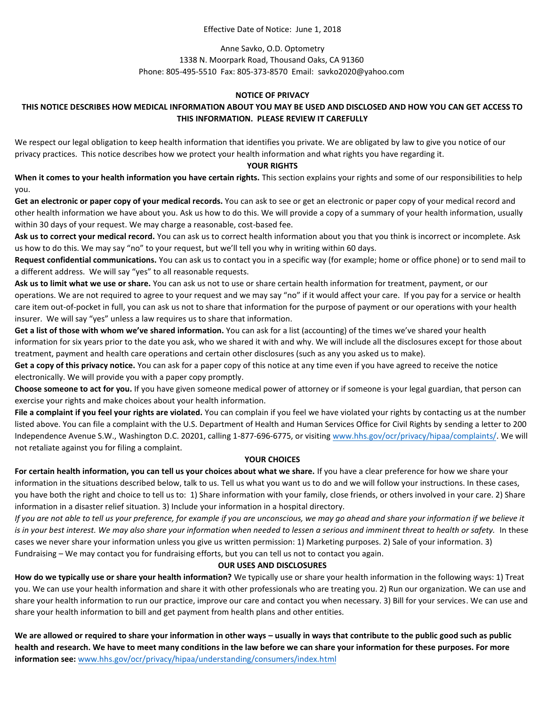Effective Date of Notice: June 1, 2018

Anne Savko, O.D. Optometry 1338 N. Moorpark Road, Thousand Oaks, CA 91360 Phone: 805-495-5510 Fax: 805-373-8570 Email: s[avko2020@yahoo.com](mailto:aesavko@gmail.com)

### **NOTICE OF PRIVACY**

## **THIS NOTICE DESCRIBES HOW MEDICAL INFORMATION ABOUT YOU MAY BE USED AND DISCLOSED AND HOW YOU CAN GET ACCESS TO THIS INFORMATION. PLEASE REVIEW IT CAREFULLY**

We respect our legal obligation to keep health information that identifies you private. We are obligated by law to give you notice of our privacy practices. This notice describes how we protect your health information and what rights you have regarding it.

#### **YOUR RIGHTS**

**When it comes to your health information you have certain rights.** This section explains your rights and some of our responsibilities to help you.

**Get an electronic or paper copy of your medical records.** You can ask to see or get an electronic or paper copy of your medical record and other health information we have about you. Ask us how to do this. We will provide a copy of a summary of your health information, usually within 30 days of your request. We may charge a reasonable, cost-based fee.

**Ask us to correct your medical record.** You can ask us to correct health information about you that you think is incorrect or incomplete. Ask us how to do this. We may say "no" to your request, but we'll tell you why in writing within 60 days.

**Request confidential communications.** You can ask us to contact you in a specific way (for example; home or office phone) or to send mail to a different address. We will say "yes" to all reasonable requests.

**Ask us to limit what we use or share.** You can ask us not to use or share certain health information for treatment, payment, or our operations. We are not required to agree to your request and we may say "no" if it would affect your care. If you pay for a service or health care item out-of-pocket in full, you can ask us not to share that information for the purpose of payment or our operations with your health insurer. We will say "yes" unless a law requires us to share that information.

**Get a list of those with whom we've shared information.** You can ask for a list (accounting) of the times we've shared your health information for six years prior to the date you ask, who we shared it with and why. We will include all the disclosures except for those about treatment, payment and health care operations and certain other disclosures (such as any you asked us to make).

**Get a copy of this privacy notice.** You can ask for a paper copy of this notice at any time even if you have agreed to receive the notice electronically. We will provide you with a paper copy promptly.

**Choose someone to act for you.** If you have given someone medical power of attorney or if someone is your legal guardian, that person can exercise your rights and make choices about your health information.

**File a complaint if you feel your rights are violated.** You can complain if you feel we have violated your rights by contacting us at the number listed above. You can file a complaint with the U.S. Department of Health and Human Services Office for Civil Rights by sending a letter to 200 Independence Avenue S.W., Washington D.C. 20201, calling 1-877-696-6775, or visiting [www.hhs.gov/ocr/privacy/hipaa/complaints/.](http://www.hhs.gov/ocr/privacy/hipaa/complaints/) We will not retaliate against you for filing a complaint.

#### **YOUR CHOICES**

For certain health information, you can tell us your choices about what we share. If you have a clear preference for how we share your information in the situations described below, talk to us. Tell us what you want us to do and we will follow your instructions. In these cases, you have both the right and choice to tell us to: 1) Share information with your family, close friends, or others involved in your care. 2) Share information in a disaster relief situation. 3) Include your information in a hospital directory.

*If you are not able to tell us your preference, for example if you are unconscious, we may go ahead and share your information if we believe it*  is in your best interest. We may also share your information when needed to lessen a serious and imminent threat to health or safety. In these cases we never share your information unless you give us written permission: 1) Marketing purposes. 2) Sale of your information. 3) Fundraising – We may contact you for fundraising efforts, but you can tell us not to contact you again.

#### **OUR USES AND DISCLOSURES**

**How do we typically use or share your health information?** We typically use or share your health information in the following ways: 1) Treat you. We can use your health information and share it with other professionals who are treating you. 2) Run our organization. We can use and share your health information to run our practice, improve our care and contact you when necessary. 3) Bill for your services. We can use and share your health information to bill and get payment from health plans and other entities.

**We are allowed or required to share your information in other ways – usually in ways that contribute to the public good such as public health and research. We have to meet many conditions in the law before we can share your information for these purposes. For more information see:** [www.hhs.gov/ocr/privacy/hipaa/understanding/consumers/index.html](http://www.hhs.gov/ocr/privacy/hipaa/understanding/consumers/index.html)